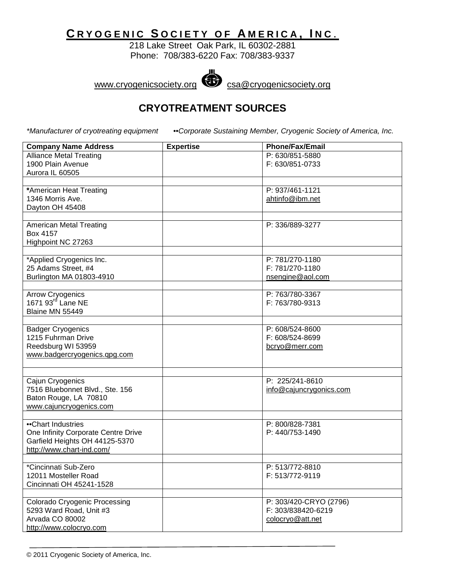## **C RYOGENIC S OCIETY OF A MERICA , I N C** .

218 Lake Street Oak Park, IL 60302-2881 Phone: 708/383-6220 Fax: 708/383-9337



www.cryogenicsociety.org csa@cryogenicsociety.org

## **CRYOTREATMENT SOURCES**

*\*Manufacturer of cryotreating equipment* ••*Corporate Sustaining Member, Cryogenic Society of America, Inc.*

| <b>Company Name Address</b>                        | <b>Expertise</b> | <b>Phone/Fax/Email</b>  |
|----------------------------------------------------|------------------|-------------------------|
| <b>Alliance Metal Treating</b>                     |                  | P: 630/851-5880         |
| 1900 Plain Avenue                                  |                  | F: 630/851-0733         |
| Aurora IL 60505                                    |                  |                         |
|                                                    |                  |                         |
| *American Heat Treating                            |                  | P: 937/461-1121         |
| 1346 Morris Ave.                                   |                  | ahtinfo@ibm.net         |
| Dayton OH 45408                                    |                  |                         |
| <b>American Metal Treating</b>                     |                  | P: 336/889-3277         |
| Box 4157                                           |                  |                         |
| Highpoint NC 27263                                 |                  |                         |
|                                                    |                  |                         |
| *Applied Cryogenics Inc.                           |                  | P: 781/270-1180         |
| 25 Adams Street, #4                                |                  | F: 781/270-1180         |
| Burlington MA 01803-4910                           |                  | nsengine@aol.com        |
|                                                    |                  |                         |
| <b>Arrow Cryogenics</b>                            |                  | P: 763/780-3367         |
| 1671 93 <sup>rd</sup> Lane NE                      |                  | F: 763/780-9313         |
| Blaine MN 55449                                    |                  |                         |
|                                                    |                  |                         |
| <b>Badger Cryogenics</b>                           |                  | P: 608/524-8600         |
| 1215 Fuhrman Drive                                 |                  | F: 608/524-8699         |
| Reedsburg WI 53959<br>www.badgercryogenics.gpg.com |                  | bcryo@merr.com          |
|                                                    |                  |                         |
|                                                    |                  |                         |
| Cajun Cryogenics                                   |                  | P: 225/241-8610         |
| 7516 Bluebonnet Blvd., Ste. 156                    |                  | info@cajuncrygonics.com |
| Baton Rouge, LA 70810                              |                  |                         |
| www.cajuncryogenics.com                            |                  |                         |
|                                                    |                  |                         |
| •Chart Industries                                  |                  | P: 800/828-7381         |
| One Infinity Corporate Centre Drive                |                  | P: 440/753-1490         |
| Garfield Heights OH 44125-5370                     |                  |                         |
| http://www.chart-ind.com/                          |                  |                         |
| *Cincinnati Sub-Zero                               |                  | P: 513/772-8810         |
| 12011 Mosteller Road                               |                  | F: 513/772-9119         |
| Cincinnati OH 45241-1528                           |                  |                         |
|                                                    |                  |                         |
| <b>Colorado Cryogenic Processing</b>               |                  | P: 303/420-CRYO (2796)  |
| 5293 Ward Road, Unit #3                            |                  | F: 303/838420-6219      |
| Arvada CO 80002                                    |                  | colocryo@att.net        |
| http://www.colocryo.com                            |                  |                         |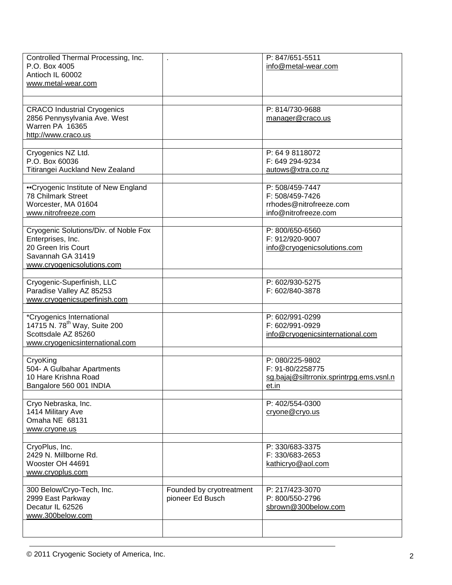| Controlled Thermal Processing, Inc.<br>P.O. Box 4005<br>Antioch IL 60002<br>www.metal-wear.com                                       |                                              | P: 847/651-5511<br>info@metal-wear.com                                                   |
|--------------------------------------------------------------------------------------------------------------------------------------|----------------------------------------------|------------------------------------------------------------------------------------------|
|                                                                                                                                      |                                              |                                                                                          |
| <b>CRACO Industrial Cryogenics</b><br>2856 Pennysylvania Ave. West<br>Warren PA 16365<br>http://www.craco.us                         |                                              | P: 814/730-9688<br>manager@craco.us                                                      |
|                                                                                                                                      |                                              |                                                                                          |
| Cryogenics NZ Ltd.<br>P.O. Box 60036<br>Titirangei Auckland New Zealand                                                              |                                              | P: 64 9 8118072<br>F: 649 294-9234<br>autows@xtra.co.nz                                  |
|                                                                                                                                      |                                              |                                                                                          |
| •Cryogenic Institute of New England<br>78 Chilmark Street<br>Worcester, MA 01604<br>www.nitrofreeze.com                              |                                              | P: 508/459-7447<br>F: 508/459-7426<br>rrhodes@nitrofreeze.com<br>info@nitrofreeze.com    |
|                                                                                                                                      |                                              |                                                                                          |
| Cryogenic Solutions/Div. of Noble Fox<br>Enterprises, Inc.<br>20 Green Iris Court<br>Savannah GA 31419<br>www.cryogenicsolutions.com |                                              | P: 800/650-6560<br>F: 912/920-9007<br>info@cryogenicsolutions.com                        |
|                                                                                                                                      |                                              |                                                                                          |
| Cryogenic-Superfinish, LLC<br>Paradise Valley AZ 85253<br>www.cryogenicsuperfinish.com                                               |                                              | P: 602/930-5275<br>F: 602/840-3878                                                       |
|                                                                                                                                      |                                              |                                                                                          |
| *Cryogenics International<br>14715 N. 78 <sup>th</sup> Way, Suite 200<br>Scottsdale AZ 85260<br>www.cryogenicsinternational.com      |                                              | P: 602/991-0299<br>F: 602/991-0929<br>info@cryogenicsinternational.com                   |
|                                                                                                                                      |                                              |                                                                                          |
| CryoKing<br>504- A Gulbahar Apartments<br>10 Hare Krishna Road<br>Bangalore 560 001 INDIA                                            |                                              | P: 080/225-9802<br>F: 91-80/2258775<br>sg.bajaj@siltrronix.sprintrpg.ems.vsnl.n<br>et.in |
|                                                                                                                                      |                                              |                                                                                          |
| Cryo Nebraska, Inc.<br>1414 Military Ave<br>Omaha NE 68131<br>www.cryone.us                                                          |                                              | P: 402/554-0300<br>cryone@cryo.us                                                        |
|                                                                                                                                      |                                              |                                                                                          |
| CryoPlus, Inc.<br>2429 N. Millborne Rd.<br>Wooster OH 44691<br>www.cryoplus.com                                                      |                                              | P: 330/683-3375<br>F: 330/683-2653<br>kathicryo@aol.com                                  |
|                                                                                                                                      |                                              | P: 217/423-3070                                                                          |
| 300 Below/Cryo-Tech, Inc.<br>2999 East Parkway<br>Decatur IL 62526<br>www.300below.com                                               | Founded by cryotreatment<br>pioneer Ed Busch | P: 800/550-2796<br>sbrown@300below.com                                                   |
|                                                                                                                                      |                                              |                                                                                          |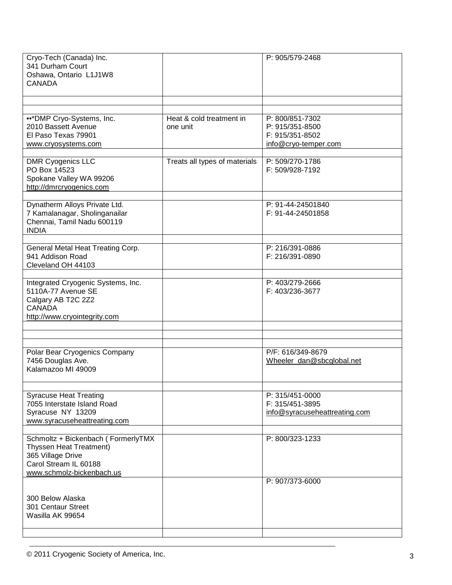|                                      | P: 905/579-2468                                                               |
|--------------------------------------|-------------------------------------------------------------------------------|
|                                      |                                                                               |
| Heat & cold treatment in<br>one unit | P: 800/851-7302<br>P: 915/351-8500<br>F: 915/351-8502<br>info@cryo-temper.com |
| Treats all types of materials        | P: 509/270-1786<br>F: 509/928-7192                                            |
|                                      | P: 91-44-24501840<br>F: 91-44-24501858                                        |
|                                      | P: 216/391-0886<br>F: 216/391-0890                                            |
|                                      | P: 403/279-2666<br>F: 403/236-3677                                            |
|                                      |                                                                               |
|                                      |                                                                               |
|                                      | P/F: 616/349-8679<br>Wheeler_dan@sbcglobal.net                                |
|                                      | P: 315/451-0000<br>F: 315/451-3895<br>info@syracuseheattreating.com           |
|                                      | P: 800/323-1233                                                               |
|                                      | P: 907/373-6000                                                               |
|                                      |                                                                               |